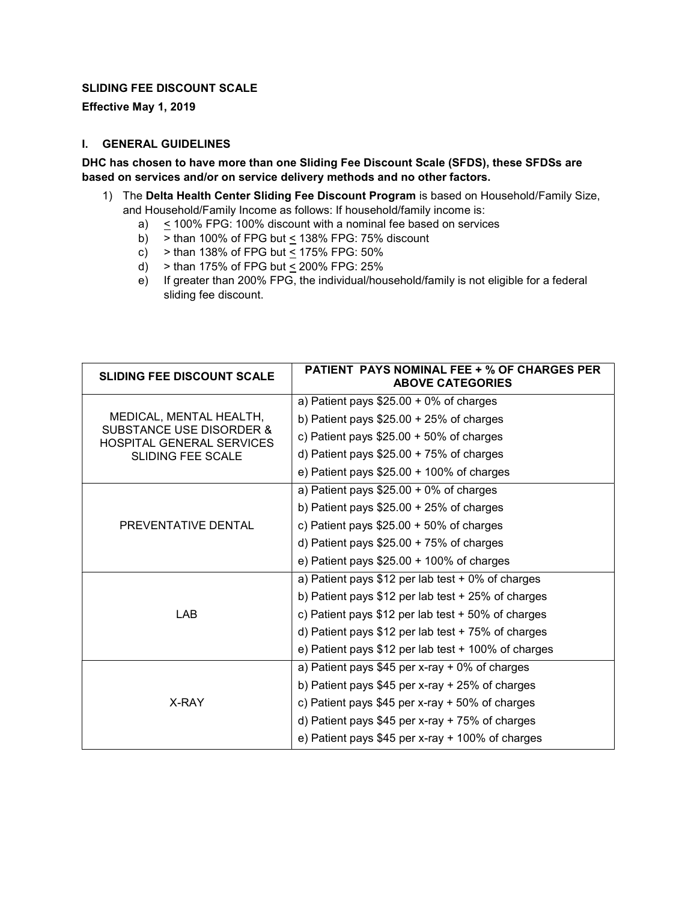## SLIDING FEE DISCOUNT SCALE

Effective May 1, 2019

## I. GENERAL GUIDELINES

DHC has chosen to have more than one Sliding Fee Discount Scale (SFDS), these SFDSs are based on services and/or on service delivery methods and no other factors.

- 1) The Delta Health Center Sliding Fee Discount Program is based on Household/Family Size, and Household/Family Income as follows: If household/family income is:
	- a) < 100% FPG: 100% discount with a nominal fee based on services
	- b) > than 100% of FPG but < 138% FPG: 75% discount
	- $\overrightarrow{c}$  > than 138% of FPG but < 175% FPG: 50%
	- d) > than 175% of FPG but  $\leq$  200% FPG: 25%
	- e) If greater than 200% FPG, the individual/household/family is not eligible for a federal sliding fee discount.

| <b>SLIDING FEE DISCOUNT SCALE</b>                                                                                   | <b>PATIENT PAYS NOMINAL FEE + % OF CHARGES PER</b><br><b>ABOVE CATEGORIES</b> |
|---------------------------------------------------------------------------------------------------------------------|-------------------------------------------------------------------------------|
| MEDICAL, MENTAL HEALTH,<br>SUBSTANCE USE DISORDER &<br><b>HOSPITAL GENERAL SERVICES</b><br><b>SLIDING FEE SCALE</b> | a) Patient pays $$25.00 + 0\%$ of charges                                     |
|                                                                                                                     | b) Patient pays $$25.00 + 25%$ of charges                                     |
|                                                                                                                     | c) Patient pays $$25.00 + 50\%$ of charges                                    |
|                                                                                                                     | d) Patient pays $$25.00 + 75%$ of charges                                     |
|                                                                                                                     | e) Patient pays $$25.00 + 100\%$ of charges                                   |
| PREVENTATIVE DENTAL                                                                                                 | a) Patient pays $$25.00 + 0\%$ of charges                                     |
|                                                                                                                     | b) Patient pays $$25.00 + 25%$ of charges                                     |
|                                                                                                                     | c) Patient pays $$25.00 + 50\%$ of charges                                    |
|                                                                                                                     | d) Patient pays $$25.00 + 75%$ of charges                                     |
|                                                                                                                     | e) Patient pays $$25.00 + 100\%$ of charges                                   |
| <b>LAB</b>                                                                                                          | a) Patient pays $$12$ per lab test $+0\%$ of charges                          |
|                                                                                                                     | b) Patient pays \$12 per lab test + 25% of charges                            |
|                                                                                                                     | c) Patient pays \$12 per lab test + 50% of charges                            |
|                                                                                                                     | d) Patient pays \$12 per lab test + 75% of charges                            |
|                                                                                                                     | e) Patient pays \$12 per lab test + 100% of charges                           |
| X-RAY                                                                                                               | a) Patient pays $$45$ per x-ray $+0\%$ of charges                             |
|                                                                                                                     | b) Patient pays $$45$ per x-ray $+25%$ of charges                             |
|                                                                                                                     | c) Patient pays $$45$ per x-ray $+50\%$ of charges                            |
|                                                                                                                     | d) Patient pays \$45 per x-ray + 75% of charges                               |
|                                                                                                                     | e) Patient pays \$45 per x-ray + 100% of charges                              |